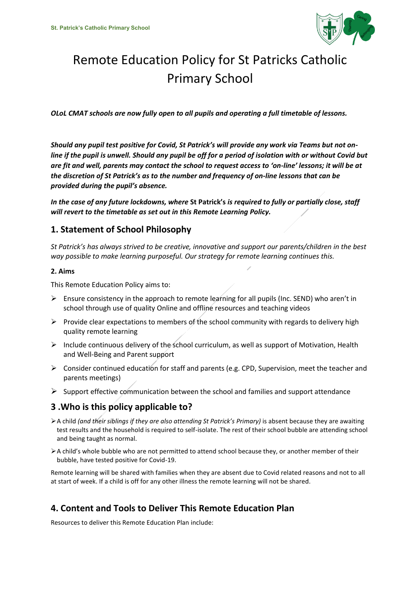

# Remote Education Policy for St Patricks Catholic Primary School

*OLoL CMAT schools are now fully open to all pupils and operating a full timetable of lessons.* 

*Should any pupil test positive for Covid, St Patrick's will provide any work via Teams but not online if the pupil is unwell. Should any pupil be off for a period of isolation with or without Covid but are fit and well, parents may contact the school to request access to 'on-line' lessons; it will be at the discretion of St Patrick's as to the number and frequency of on-line lessons that can be provided during the pupil's absence.*

*In the case of any future lockdowns, where* **St Patrick's** *is required to fully or partially close, staff will revert to the timetable as set out in this Remote Learning Policy.*

## **1. Statement of School Philosophy**

*St Patrick's has always strived to be creative, innovative and support our parents/children in the best way possible to make learning purposeful. Our strategy for remote learning continues this.* 

#### **2. Aims**

This Remote Education Policy aims to:

- $\triangleright$  Ensure consistency in the approach to remote learning for all pupils (Inc. SEND) who aren't in school through use of quality Online and offline resources and teaching videos
- Provide clear expectations to members of the school community with regards to delivery high quality remote learning
- $\triangleright$  Include continuous delivery of the school curriculum, as well as support of Motivation, Health and Well-Being and Parent support
- $\triangleright$  Consider continued education for staff and parents (e.g. CPD, Supervision, meet the teacher and parents meetings)
- $\triangleright$  Support effective communication between the school and families and support attendance

## **3 .Who is this policy applicable to?**

- A child *(and their siblings if they are also attending St Patrick's Primary)* is absent because they are awaiting test results and the household is required to self-isolate. The rest of their school bubble are attending school and being taught as normal.
- A child's whole bubble who are not permitted to attend school because they, or another member of their bubble, have tested positive for Covid-19.

Remote learning will be shared with families when they are absent due to Covid related reasons and not to all at start of week. If a child is off for any other illness the remote learning will not be shared.

# **4. Content and Tools to Deliver This Remote Education Plan**

Resources to deliver this Remote Education Plan include: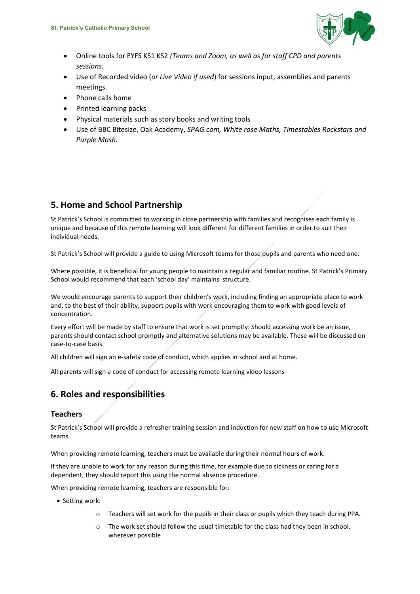

- Online tools for EYFS KS1 KS2 *(Teams and Zoom, as well as for staff CPD and parents sessions.*
- Use of Recorded video (*or Live Video if used*) for sessions input, assemblies and parents meetings.
- Phone calls home
- Printed learning packs
- Physical materials such as story books and writing tools
- Use of BBC Bitesize, Oak Academy, *SPAG.com, White rose Maths, Timestables Rockstars and Purple Mash.*

# **5. Home and School Partnership**

St Patrick's School is committed to working in close partnership with families and recognises each family is unique and because of this remote learning will look different for different families in order to suit their individual needs.

St Patrick's School will provide a guide to using Microsoft teams for those pupils and parents who need one.

Where possible, it is beneficial for young people to maintain a regular and familiar routine. St Patrick's Primary School would recommend that each 'school day' maintains structure.

We would encourage parents to support their children's work, including finding an appropriate place to work and, to the best of their ability, support pupils with work encouraging them to work with good levels of concentration.

Every effort will be made by staff to ensure that work is set promptly. Should accessing work be an issue, parents should contact school promptly and alternative solutions may be available. These will be discussed on case-to-case basis.

All children will sign an e-safety code of conduct, which applies in school and at home.

All parents will sign a code of conduct for accessing remote learning video lessons

# **6. Roles and responsibilities**

#### **Teachers**

St Patrick's School will provide a refresher training session and induction for new staff on how to use Microsoft teams

When providing remote learning, teachers must be available during their normal hours of work.

If they are unable to work for any reason during this time, for example due to sickness or caring for a dependent, they should report this using the normal absence procedure.

When providing remote learning, teachers are responsible for:

- Setting work:
	- $\circ$  Teachers will set work for the pupils in their class or pupils which they teach during PPA.
	- o The work set should follow the usual timetable for the class had they been in school, wherever possible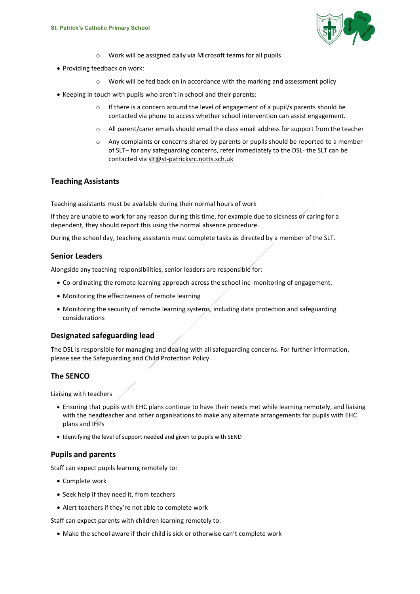

- o Work will be assigned daily via Microsoft teams for all pupils
- Providing feedback on work:
	- o Work will be fed back on in accordance with the marking and assessment policy
- Keeping in touch with pupils who aren't in school and their parents:
	- o If there is a concern around the level of engagement of a pupil/s parents should be contacted via phone to access whether school intervention can assist engagement.
	- o All parent/carer emails should email the class email address for support from the teacher
	- o Any complaints or concerns shared by parents or pupils should be reported to a member of SLT– for any safeguarding concerns, refer immediately to the DSL- the SLT can be contacted vi[a slt@st-patricksrc.notts.sch.uk](mailto:slt@st-patricksrc.notts.sch.uk)

#### **Teaching Assistants**

Teaching assistants must be available during their normal hours of work

If they are unable to work for any reason during this time, for example due to sickness or caring for a dependent, they should report this using the normal absence procedure.

During the school day, teaching assistants must complete tasks as directed by a member of the SLT.

#### **Senior Leaders**

Alongside any teaching responsibilities, senior leaders are responsible for:

- Co-ordinating the remote learning approach across the school inc monitoring of engagement.
- Monitoring the effectiveness of remote learning
- Monitoring the security of remote learning systems, including data protection and safeguarding considerations

#### **Designated safeguarding lead**

The DSL is responsible for managing and dealing with all safeguarding concerns. For further information, please see the Safeguarding and Child Protection Policy.

#### **The SENCO**

Liaising with teachers

- Ensuring that pupils with EHC plans continue to have their needs met while learning remotely, and liaising with the headteacher and other organisations to make any alternate arrangements for pupils with EHC plans and IHPs
- Identifying the level of support needed and given to pupils with SEND

#### **Pupils and parents**

Staff can expect pupils learning remotely to:

- Complete work
- Seek help if they need it, from teachers
- Alert teachers if they're not able to complete work

Staff can expect parents with children learning remotely to:

Make the school aware if their child is sick or otherwise can't complete work